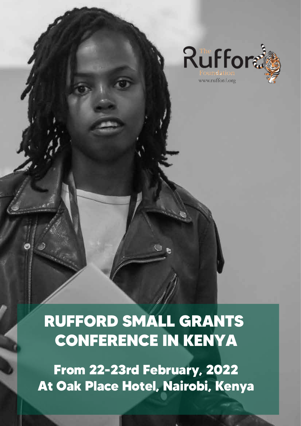

# **RUFFORD SMALL GRANTS CONFERENCE IN KENYA**

**From 22-23rd February, 2022 At Oak Place Hotel, Nairobi, Kenya**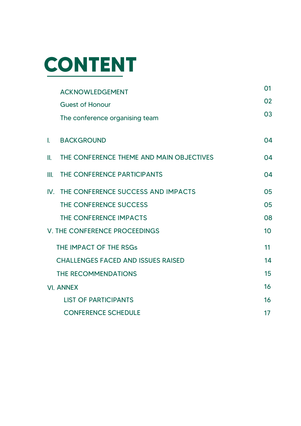

|              | <b>ACKNOWLEDGEMENT</b>                    | 01 |
|--------------|-------------------------------------------|----|
|              | <b>Guest of Honour</b>                    | 02 |
|              | The conference organising team            | 03 |
| $\mathbf{L}$ | <b>BACKGROUND</b>                         | 04 |
| II.          | THE CONFERENCE THEME AND MAIN OBJECTIVES  | 04 |
| III.         | THE CONFERENCE PARTICIPANTS               | 04 |
| $W_{\cdot}$  | THE CONFERENCE SUCCESS AND IMPACTS        | 05 |
|              | THE CONFERENCE SUCCESS                    | 05 |
|              | THE CONFERENCE IMPACTS                    | 08 |
|              | <b>V. THE CONFERENCE PROCEEDINGS</b>      | 10 |
|              | THE IMPACT OF THE RSGs                    | 11 |
|              | <b>CHALLENGES FACED AND ISSUES RAISED</b> | 14 |
|              | <b>THE RECOMMENDATIONS</b>                | 15 |
|              | <b>VI. ANNEX</b>                          | 16 |
|              | <b>LIST OF PARTICIPANTS</b>               | 16 |
|              | <b>CONFERENCE SCHEDULE</b>                | 17 |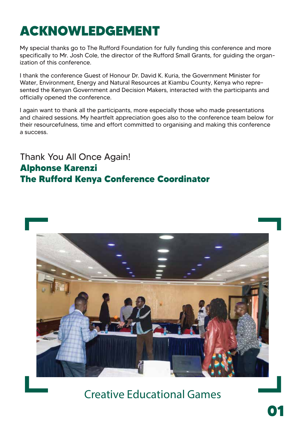# **ACKNOWLEDGEMENT**

My special thanks go to The Rufford Foundation for fully funding this conference and more specifically to Mr. Josh Cole, the director of the Rufford Small Grants, for guiding the organization of this conference.

I thank the conference Guest of Honour Dr. David K. Kuria, the Government Minister for Water, Environment, Energy and Natural Resources at Kiambu County, Kenya who represented the Kenyan Government and Decision Makers, interacted with the participants and officially opened the conference.

I again want to thank all the participants, more especially those who made presentations and chaired sessions. My heartfelt appreciation goes also to the conference team below for their resourcefulness, time and effort committed to organising and making this conference a success.

Thank You All Once Again! **Alphonse Karenzi The Rufford Kenya Conference Coordinator**



Creative Educational Games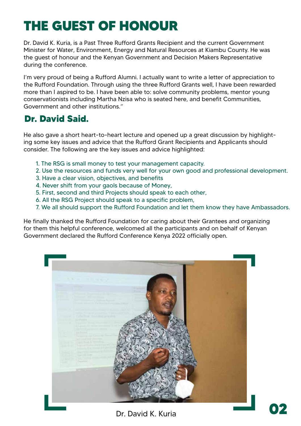# **THE GUEST OF HONOUR**

Dr. David K. Kuria, is a Past Three Rufford Grants Recipient and the current Government Minister for Water, Environment, Energy and Natural Resources at Kiambu County. He was the guest of honour and the Kenyan Government and Decision Makers Representative during the conference.

I'm very proud of being a Rufford Alumni. I actually want to write a letter of appreciation to the Rufford Foundation. Through using the three Rufford Grants well, I have been rewarded more than I aspired to be. I have been able to: solve community problems, mentor young conservationists including Martha Nzisa who is seated here, and benefit Communities, Government and other institutions."

#### **Dr. David Said.**

He also gave a short heart-to-heart lecture and opened up a great discussion by highlighting some key issues and advice that the Rufford Grant Recipients and Applicants should consider. The following are the key issues and advice highlighted:

- 1. The RSG is small money to test your management capacity.
- 2. Use the resources and funds very well for your own good and professional development.
- 3. Have a clear vision, objectives, and benefits
- 4. Never shift from your gaols because of Money,
- 5. First, second and third Projects should speak to each other,
- 6. All the RSG Project should speak to a specific problem,
- 7. We all should support the Rufford Foundation and let them know they have Ambassadors.

He finally thanked the Rufford Foundation for caring about their Grantees and organizing for them this helpful conference, welcomed all the participants and on behalf of Kenyan Government declared the Rufford Conference Kenya 2022 officially open.



Dr. David K. Kuria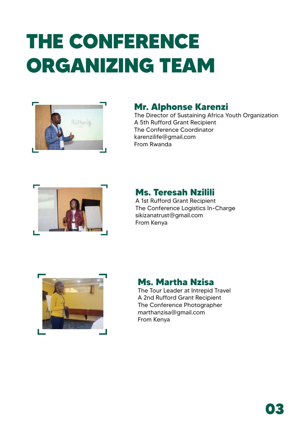# **THE CONFERENCE ORGANIZING TEAM**



#### **Mr. Alphonse Karenzi**

The Director of Sustaining Africa Youth Organization A 5th Rufford Grant Recipient The Conference Coordinator karenzilife@gmail.com From Rwanda



#### **Ms. Teresah Nzilili**

A 1st Rufford Grant Recipient The Conference Logistics In-Charge sikizanatrust@gmail.com From Kenya



#### **Ms. Martha Nzisa**

The Tour Leader at Intrepid Travel A 2nd Rufford Grant Recipient The Conference Photographer marthanzisa@gmail.com From Kenya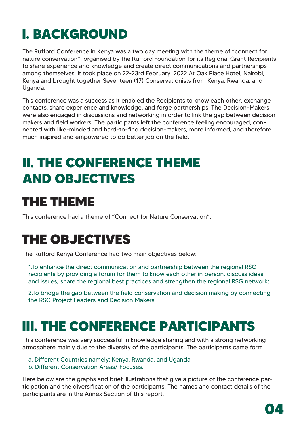# **I. BACKGROUND**

The Rufford Conference in Kenya was a two day meeting with the theme of "connect for nature conservation", organised by the Rufford Foundation for its Regional Grant Recipients to share experience and knowledge and create direct communications and partnerships among themselves. It took place on 22-23rd February, 2022 At Oak Place Hotel, Nairobi, Kenya and brought together Seventeen (17) Conservationists from Kenya, Rwanda, and Uganda.

This conference was a success as it enabled the Recipients to know each other, exchange contacts, share experience and knowledge, and forge partnerships. The Decision-Makers were also engaged in discussions and networking in order to link the gap between decision makers and field workers. The participants left the conference feeling encouraged, connected with like-minded and hard-to-find decision-makers, more informed, and therefore much inspired and empowered to do better job on the field.

### **II. THE CONFERENCE THEME AND OBJECTIVES**

### **THE THEME**

This conference had a theme of "Connect for Nature Conservation".

## **THE OBJECTIVES**

The Rufford Kenya Conference had two main objectives below:

1.To enhance the direct communication and partnership between the regional RSG recipients by providing a forum for them to know each other in person, discuss ideas and issues; share the regional best practices and strengthen the regional RSG network;

2.To bridge the gap between the field conservation and decision making by connecting the RSG Project Leaders and Decision Makers.

### **III. THE CONFERENCE PARTICIPANTS**

This conference was very successful in knowledge sharing and with a strong networking atmosphere mainly due to the diversity of the participants. The participants came form

- a. Different Countries namely: Kenya, Rwanda, and Uganda.
- b. Different Conservation Areas/ Focuses.

Here below are the graphs and brief illustrations that give a picture of the conference participation and the diversification of the participants. The names and contact details of the participants are in the Annex Section of this report.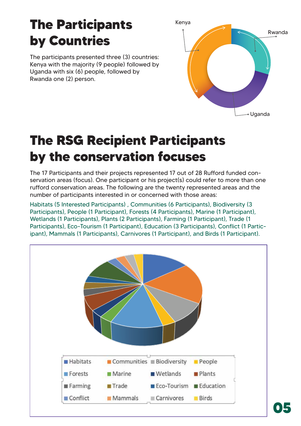## **The Participants by Countries**

The participants presented three (3) countries: Kenya with the majority (9 people) followed by Uganda with six (6) people, followed by Rwanda one (2) person.



## **The RSG Recipient Participants by the conservation focuses**

The 17 Participants and their projects represented 17 out of 28 Rufford funded conservation areas (focus). One participant or his project(s) could refer to more than one rufford conservation areas. The following are the twenty represented areas and the number of participants interested in or concerned with those areas:

Habitats (5 Interested Participants) , Communities (6 Participants), Biodiversity (3 Participants), People (1 Participant), Forests (4 Participants), Marine (1 Participant), Wetlands (1 Participants), Plants (2 Participants), Farming (1 Participant), Trade (1 Participants), Eco-Tourism (1 Participant), Education (3 Participants), Conflict (1 Participant), Mammals (1 Participants), Carnivores (1 Participant), and Birds (1 Participant).

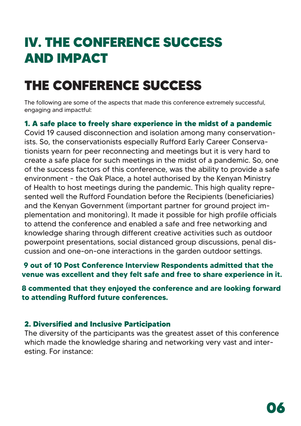### **IV. THE CONFERENCE SUCCESS AND IMPACT**

# **THE CONFERENCE SUCCESS**

The following are some of the aspects that made this conference extremely successful, engaging and impactful:

#### **1. A safe place to freely share experience in the midst of a pandemic**

Covid 19 caused disconnection and isolation among many conservationists. So, the conservationists especially Rufford Early Career Conservationists yearn for peer reconnecting and meetings but it is very hard to create a safe place for such meetings in the midst of a pandemic. So, one of the success factors of this conference, was the ability to provide a safe environment - the Oak Place, a hotel authorised by the Kenyan Ministry of Health to host meetings during the pandemic. This high quality represented well the Rufford Foundation before the Recipients (beneficiaries) and the Kenyan Government (important partner for ground project implementation and monitoring). It made it possible for high profile officials to attend the conference and enabled a safe and free networking and knowledge sharing through different creative activities such as outdoor powerpoint presentations, social distanced group discussions, penal discussion and one-on-one interactions in the garden outdoor settings.

#### **9 out of 10 Post Conference Interview Respondents admitted that the venue was excellent and they felt safe and free to share experience in it.**

**8 commented that they enjoyed the conference and are looking forward to attending Rufford future conferences.**

#### **2. Diversified and Inclusive Participation**

The diversity of the participants was the greatest asset of this conference which made the knowledge sharing and networking very vast and interesting. For instance: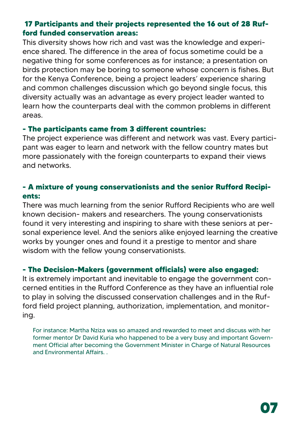#### **17 Participants and their projects represented the 16 out of 28 Rufford funded conservation areas:**

This diversity shows how rich and vast was the knowledge and experience shared. The difference in the area of focus sometime could be a negative thing for some conferences as for instance; a presentation on birds protection may be boring to someone whose concern is fishes. But for the Kenya Conference, being a project leaders' experience sharing and common challenges discussion which go beyond single focus, this diversity actually was an advantage as every project leader wanted to learn how the counterparts deal with the common problems in different areas.

#### **- The participants came from 3 different countries:**

The project experience was different and network was vast. Every participant was eager to learn and network with the fellow country mates but more passionately with the foreign counterparts to expand their views and networks.

#### **- A mixture of young conservationists and the senior Rufford Recipients:**

There was much learning from the senior Rufford Recipients who are well known decision- makers and researchers. The young conservationists found it very interesting and inspiring to share with these seniors at personal experience level. And the seniors alike enjoyed learning the creative works by younger ones and found it a prestige to mentor and share wisdom with the fellow young conservationists.

#### **- The Decision-Makers (government officials) were also engaged:**

It is extremely important and inevitable to engage the government concerned entities in the Rufford Conference as they have an influential role to play in solving the discussed conservation challenges and in the Rufford field project planning, authorization, implementation, and monitoring.

For instance: Martha Nziza was so amazed and rewarded to meet and discuss with her former mentor Dr David Kuria who happened to be a very busy and important Government Official after becoming the Government Minister in Charge of Natural Resources and Environmental Affairs. .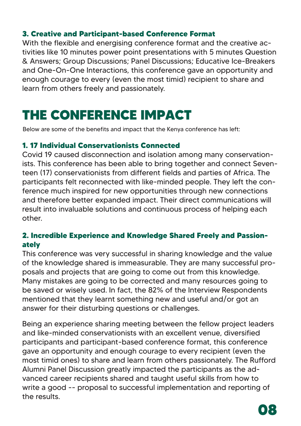#### **3. Creative and Participant-based Conference Format**

With the flexible and energising conference format and the creative activities like 10 minutes power point presentations with 5 minutes Question & Answers; Group Discussions; Panel Discussions; Educative Ice-Breakers and One-On-One Interactions, this conference gave an opportunity and enough courage to every (even the most timid) recipient to share and learn from others freely and passionately.

### **THE CONFERENCE IMPACT**

Below are some of the benefits and impact that the Kenya conference has left:

#### **1. 17 Individual Conservationists Connected**

Covid 19 caused disconnection and isolation among many conservationists. This conference has been able to bring together and connect Seventeen (17) conservationists from different fields and parties of Africa. The participants felt reconnected with like-minded people. They left the conference much inspired for new opportunities through new connections and therefore better expanded impact. Their direct communications will result into invaluable solutions and continuous process of helping each other.

#### **2. Incredible Experience and Knowledge Shared Freely and Passionately**

This conference was very successful in sharing knowledge and the value of the knowledge shared is immeasurable. They are many successful proposals and projects that are going to come out from this knowledge. Many mistakes are going to be corrected and many resources going to be saved or wisely used. In fact, the 82% of the Interview Respondents mentioned that they learnt something new and useful and/or got an answer for their disturbing questions or challenges.

Being an experience sharing meeting between the fellow project leaders and like-minded conservationists with an excellent venue, diversified participants and participant-based conference format, this conference gave an opportunity and enough courage to every recipient (even the most timid ones) to share and learn from others passionately. The Rufford Alumni Panel Discussion greatly impacted the participants as the advanced career recipients shared and taught useful skills from how to write a good -- proposal to successful implementation and reporting of the results.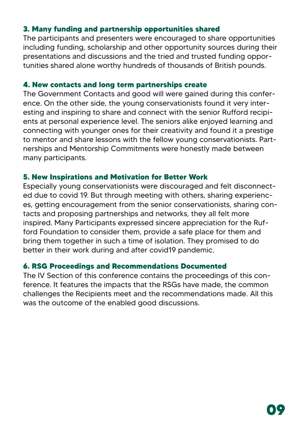#### **3. Many funding and partnership opportunities shared**

The participants and presenters were encouraged to share opportunities including funding, scholarship and other opportunity sources during their presentations and discussions and the tried and trusted funding opportunities shared alone worthy hundreds of thousands of British pounds.

#### **4. New contacts and long term partnerships create**

The Government Contacts and good will were gained during this conference. On the other side, the young conservationists found it very interesting and inspiring to share and connect with the senior Rufford recipients at personal experience level. The seniors alike enjoyed learning and connecting with younger ones for their creativity and found it a prestige to mentor and share lessons with the fellow young conservationists. Partnerships and Mentorship Commitments were honestly made between many participants.

#### **5. New Inspirations and Motivation for Better Work**

Especially young conservationists were discouraged and felt disconnected due to covid 19. But through meeting with others, sharing experiences, getting encouragement from the senior conservationists, sharing contacts and proposing partnerships and networks, they all felt more inspired. Many Participants expressed sincere appreciation for the Rufford Foundation to consider them, provide a safe place for them and bring them together in such a time of isolation. They promised to do better in their work during and after covid19 pandemic.

#### **6. RSG Proceedings and Recommendations Documented**

The IV Section of this conference contains the proceedings of this conference. It features the impacts that the RSGs have made, the common challenges the Recipients meet and the recommendations made. All this was the outcome of the enabled good discussions.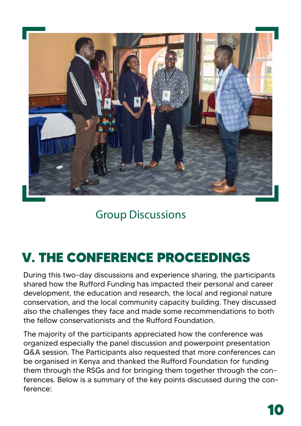

### Group Discussions

## **V. THE CONFERENCE PROCEEDINGS**

During this two-day discussions and experience sharing, the participants shared how the Rufford Funding has impacted their personal and career development, the education and research, the local and regional nature conservation, and the local community capacity building. They discussed also the challenges they face and made some recommendations to both the fellow conservationists and the Rufford Foundation.

The majority of the participants appreciated how the conference was organized especially the panel discussion and powerpoint presentation Q&A session. The Participants also requested that more conferences can be organised in Kenya and thanked the Rufford Foundation for funding them through the RSGs and for bringing them together through the conferences. Below is a summary of the key points discussed during the conference: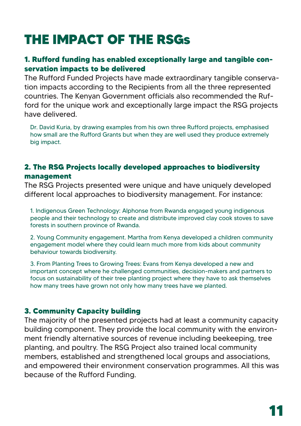# **THE IMPACT OF THE RSGs**

#### **1. Rufford funding has enabled exceptionally large and tangible conservation impacts to be delivered**

The Rufford Funded Projects have made extraordinary tangible conservation impacts according to the Recipients from all the three represented countries. The Kenyan Government officials also recommended the Rufford for the unique work and exceptionally large impact the RSG projects have delivered.

Dr. David Kuria, by drawing examples from his own three Rufford projects, emphasised how small are the Rufford Grants but when they are well used they produce extremely big impact.

#### **2. The RSG Projects locally developed approaches to biodiversity management**

The RSG Projects presented were unique and have uniquely developed different local approaches to biodiversity management. For instance:

1. Indigenous Green Technology: Alphonse from Rwanda engaged young indigenous people and their technology to create and distribute improved clay cook stoves to save forests in southern province of Rwanda.

2. Young Community engagement. Martha from Kenya developed a children community engagement model where they could learn much more from kids about community behaviour towards biodiversity.

3. From Planting Trees to Growing Trees: Evans from Kenya developed a new and important concept where he challenged communities, decision-makers and partners to focus on sustainability of their tree planting project where they have to ask themselves how many trees have grown not only how many trees have we planted.

#### **3. Community Capacity building**

The majority of the presented projects had at least a community capacity building component. They provide the local community with the environment friendly alternative sources of revenue including beekeeping, tree planting, and poultry. The RSG Project also trained local community members, established and strengthened local groups and associations, and empowered their environment conservation programmes. All this was because of the Rufford Funding.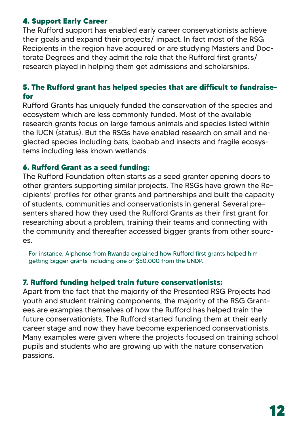#### **4. Support Early Career**

The Rufford support has enabled early career conservationists achieve their goals and expand their projects/ impact. In fact most of the RSG Recipients in the region have acquired or are studying Masters and Doctorate Degrees and they admit the role that the Rufford first grants/ research played in helping them get admissions and scholarships.

#### **5. The Rufford grant has helped species that are difficult to fundraisefor**

Rufford Grants has uniquely funded the conservation of the species and ecosystem which are less commonly funded. Most of the available research grants focus on large famous animals and species listed within the IUCN (status). But the RSGs have enabled research on small and neglected species including bats, baobab and insects and fragile ecosystems including less known wetlands.

#### **6. Rufford Grant as a seed funding:**

The Rufford Foundation often starts as a seed granter opening doors to other granters supporting similar projects. The RSGs have grown the Recipients' profiles for other grants and partnerships and built the capacity of students, communities and conservationists in general. Several presenters shared how they used the Rufford Grants as their first grant for researching about a problem, training their teams and connecting with the community and thereafter accessed bigger grants from other sources.

For instance, Alphonse from Rwanda explained how Rufford first grants helped him getting bigger grants including one of \$50,000 from the UNDP.

#### **7. Rufford funding helped train future conservationists:**

Apart from the fact that the majority of the Presented RSG Projects had youth and student training components, the majority of the RSG Grantees are examples themselves of how the Rufford has helped train the future conservationists. The Rufford started funding them at their early career stage and now they have become experienced conservationists. Many examples were given where the projects focused on training school pupils and students who are growing up with the nature conservation passions.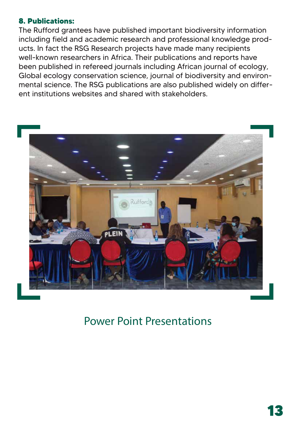#### **8. Publications:**

The Rufford grantees have published important biodiversity information including field and academic research and professional knowledge products. In fact the RSG Research projects have made many recipients well-known researchers in Africa. Their publications and reports have been published in refereed journals including African journal of ecology, Global ecology conservation science, journal of biodiversity and environmental science. The RSG publications are also published widely on different institutions websites and shared with stakeholders.



### Power Point Presentations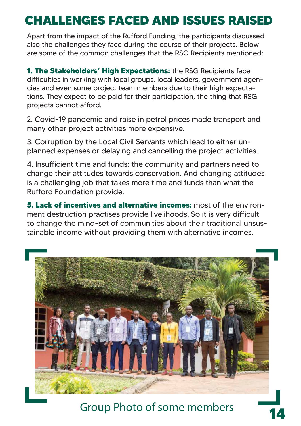### **CHALLENGES FACED AND ISSUES RAISED**

Apart from the impact of the Rufford Funding, the participants discussed also the challenges they face during the course of their projects. Below are some of the common challenges that the RSG Recipients mentioned:

**1. The Stakeholders' High Expectations:** the RSG Recipients face difficulties in working with local groups, local leaders, government agencies and even some project team members due to their high expectations. They expect to be paid for their participation, the thing that RSG projects cannot afford.

2. Covid-19 pandemic and raise in petrol prices made transport and many other project activities more expensive.

3. Corruption by the Local Civil Servants which lead to either unplanned expenses or delaying and cancelling the project activities.

4. Insufficient time and funds: the community and partners need to change their attitudes towards conservation. And changing attitudes is a challenging job that takes more time and funds than what the Rufford Foundation provide.

**5. Lack of incentives and alternative incomes:** most of the environment destruction practises provide livelihoods. So it is very difficult to change the mind-set of communities about their traditional unsustainable income without providing them with alternative incomes.



Group Photo of some members **14**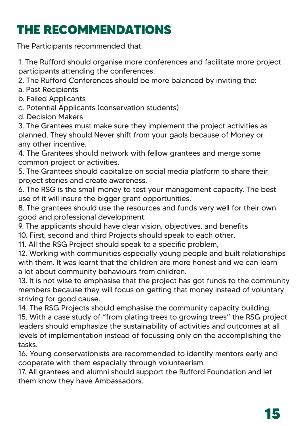### **THE RECOMMENDATIONS**

The Participants recommended that:

1. The Rufford should organise more conferences and facilitate more project participants attending the conferences.

2. The Rufford Conferences should be more balanced by inviting the:

- a. Past Recipients
- b. Failed Applicants
- c. Potential Applicants (conservation students)
- d. Decision Makers

3. The Grantees must make sure they implement the project activities as planned. They should Never shift from your gaols because of Money or any other incentive.

4. The Grantees should network with fellow grantees and merge some common project or activities.

5. The Grantees should capitalize on social media platform to share their project stories and create awareness.

6. The RSG is the small money to test your management capacity. The best use of it will insure the bigger grant opportunities.

8. The grantees should use the resources and funds very well for their own good and professional development.

9. The applicants should have clear vision, objectives, and benefits

10. First, second and third Projects should speak to each other,

11. All the RSG Project should speak to a specific problem,

12. Working with communities especially young people and built relationships with them. It was learnt that the children are more honest and we can learn a lot about community behaviours from children.

13. It is not wise to emphasise that the project has got funds to the community members because they will focus on getting that money instead of voluntary striving for good cause.

14. The RSG Projects should emphasise the community capacity building. 15. With a case study of "from plating trees to growing trees" the RSG project leaders should emphasize the sustainability of activities and outcomes at all levels of implementation instead of focussing only on the accomplishing the tasks.

16. Young conservationists are recommended to identify mentors early and cooperate with them especially through volunteerism.

17. All grantees and alumni should support the Rufford Foundation and let them know they have Ambassadors.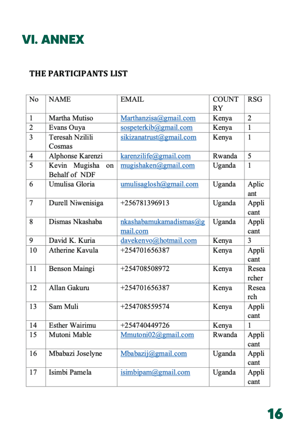### **VI. ANNEX**

#### THE PARTICIPANTS LIST

| No | <b>NAME</b>                          | <b>EMAIL</b>            | <b>COUNT</b><br>RY | <b>RSG</b>     |
|----|--------------------------------------|-------------------------|--------------------|----------------|
| 1  | Martha Mutiso                        | Marthanzisa@gmail.com   | Kenya              | 2              |
| 2  | Evans Ouya                           | sospeterkib@gmail.com   | Kenya              | 1              |
| 3  | Teresah Nzilili                      | sikizanatrust@gmail.com | Kenya              | 1              |
|    | Cosmas                               |                         |                    |                |
| 4  | Alphonse Karenzi                     | karenzilife@gmail.com   | Rwanda             | 5              |
| 5  | Kevin Mugisha<br>on<br>Behalf of NDF | mugishaken@gmail.com    | Uganda             | 1              |
| 6  | Umulisa Gloria                       | umulisaglosh@gmail.com  | Uganda             | Aplic<br>ant   |
| 7  | Durell Niwenisiga                    | +256781396913           | Uganda             | Appli<br>cant  |
| 8  | Dismas Nkashaba                      | nkashabamukamadismas@g  | Uganda             | Appli          |
|    |                                      | mail.com                |                    | cant           |
| 9  | David K. Kuria                       | davekenvo@hotmail.com   | Kenya              | 3              |
| 10 | Atherine Kavula                      | +254701656387           | Kenya              | Appli<br>cant  |
| 11 | Benson Maingi                        | +254708508972           | Kenya              | Resea<br>rcher |
| 12 | Allan Gakuru                         | +254701656387           |                    | Resea          |
|    |                                      |                         | Kenya              | rch            |
| 13 | Sam Muli                             | +254708559574           | Kenya              | Appli          |
|    |                                      |                         |                    | cant           |
| 14 | <b>Esther Wairimu</b>                | +254740449726           | Kenya              | 1              |
| 15 | Mutoni Mable                         | Mmutoni02@gmail.com     | Rwanda             | Appli          |
|    |                                      |                         |                    | cant           |
| 16 | Mbabazi Joselyne                     | Mbabazij@gmail.com      | Uganda             | Appli          |
|    |                                      |                         |                    | cant           |
| 17 | Isimbi Pamela                        | isimbipam@gmail.com     | Uganda             | Appli          |
|    |                                      |                         |                    | cant           |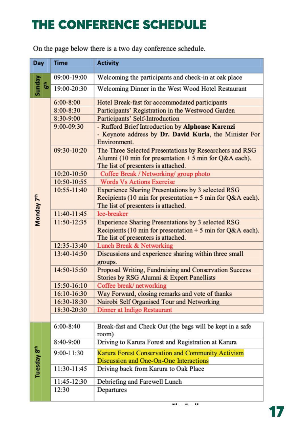### **THE CONFERENCE SCHEDULE**

On the page below there is a two day conference schedule.

| Day                     |        | <b>Time</b>   | <b>Activity</b>                                                                                                                                           |
|-------------------------|--------|---------------|-----------------------------------------------------------------------------------------------------------------------------------------------------------|
|                         |        | 09:00-19:00   | Welcoming the participants and check-in at oak place                                                                                                      |
| Sunday                  | ٿ<br>ه | 19:00-20:30   | Welcoming Dinner in the West Wood Hotel Restaurant                                                                                                        |
|                         |        | $6:00 - 8:00$ | Hotel Break-fast for accommodated participants                                                                                                            |
|                         |        | $8:00 - 8:30$ | Participants' Registration in the Westwood Garden                                                                                                         |
|                         |        | 8:30-9:00     | Participants' Self-Introduction                                                                                                                           |
|                         |        | 9:00-09:30    | - Rufford Brief Introduction by Alphonse Karenzi<br>- Keynote address by Dr. David Kuria, the Minister For<br>Environment.                                |
|                         |        | 09:30-10:20   | The Three Selected Presentations by Researchers and RSG<br>Alumni (10 min for presentation $+5$ min for Q&A each).<br>The list of presenters is attached. |
|                         |        | 10:20-10:50   | Coffee Break / Networking/ group photo                                                                                                                    |
|                         |        | 10:50-10:55   | <b>Words Vs Actions Exercise</b>                                                                                                                          |
|                         |        | 10:55-11:40   | Experience Sharing Presentations by 3 selected RSG                                                                                                        |
| Monday 7 <sup>th</sup>  |        |               | Recipients (10 min for presentation $+$ 5 min for Q&A each).<br>The list of presenters is attached.                                                       |
|                         |        | 11:40-11:45   | Ice-breaker                                                                                                                                               |
|                         |        | 11:50-12:35   | Experience Sharing Presentations by 3 selected RSG<br>Recipients (10 min for presentation $+5$ min for Q&A each).<br>The list of presenters is attached.  |
|                         |        | 12:35-13:40   | Lunch Break & Networking                                                                                                                                  |
|                         |        | 13:40-14:50   | Discussions and experience sharing within three small<br>groups.                                                                                          |
|                         |        | 14:50-15:50   | Proposal Writing, Fundraising and Conservation Success<br>Stories by RSG Alumni & Expert Panellists                                                       |
|                         |        | 15:50-16:10   | Coffee break/networking                                                                                                                                   |
|                         |        | 16:10-16:30   | Way Forward, closing remarks and vote of thanks                                                                                                           |
|                         |        | 16:30-18:30   | Nairobi Self Organised Tour and Networking                                                                                                                |
|                         |        | 18:30-20:30   | Dinner at Indigo Restaurant                                                                                                                               |
|                         |        | $6:00-8:40$   | Break-fast and Check Out (the bags will be kept in a safe                                                                                                 |
|                         |        | 8:40-9:00     | room)                                                                                                                                                     |
|                         |        |               | Driving to Karura Forest and Registration at Karura                                                                                                       |
| Tuesday 8 <sup>th</sup> |        | 9:00-11:30    | Karura Forest Conservation and Community Activism<br>Discussion and One-On-One Interactions                                                               |
|                         |        | 11:30-11:45   | Driving back from Karura to Oak Place                                                                                                                     |
|                         |        | 11:45-12:30   | Debriefing and Farewell Lunch                                                                                                                             |
|                         |        | 12:30         | Departures                                                                                                                                                |
|                         |        |               |                                                                                                                                                           |